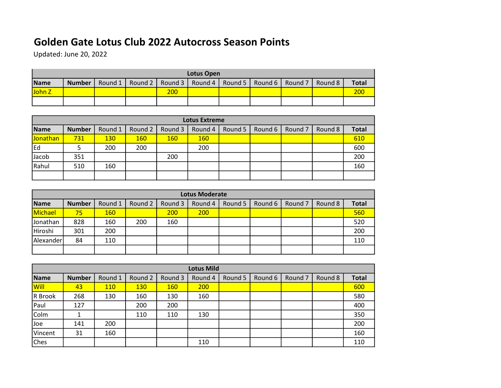## Golden Gate Lotus Club 2022 Autocross Season Points

Updated: June 20, 2022

|        | Lotus Open    |         |  |                   |  |  |                             |         |         |              |  |  |
|--------|---------------|---------|--|-------------------|--|--|-----------------------------|---------|---------|--------------|--|--|
| Name   | <b>Number</b> | Round 1 |  | Round 2   Round 3 |  |  | Round 4   Round 5   Round 6 | Round 7 | Round 8 | <b>Total</b> |  |  |
| John Z |               |         |  | 200               |  |  |                             |         |         | 200          |  |  |
|        |               |         |  |                   |  |  |                             |         |         |              |  |  |

| <b>Lotus Extreme</b> |               |            |         |            |            |         |         |         |         |              |  |  |
|----------------------|---------------|------------|---------|------------|------------|---------|---------|---------|---------|--------------|--|--|
| Name                 | <b>Number</b> | Round 1    | Round 2 | Round 3    | Round 4    | Round 5 | Round 6 | Round 7 | Round 8 | <b>Total</b> |  |  |
| Jonathan             | 731           | <b>130</b> | 160     | <b>160</b> | <b>160</b> |         |         |         |         | 610          |  |  |
| <b>IEd</b>           |               | 200        | 200     |            | 200        |         |         |         |         | 600          |  |  |
| Jacob                | 351           |            |         | 200        |            |         |         |         |         | 200          |  |  |
| Rahul                | 510           | 160        |         |            |            |         |         |         |         | 160          |  |  |
|                      |               |            |         |            |            |         |         |         |         |              |  |  |

|           | <b>Lotus Moderate</b> |            |         |         |         |         |         |         |         |              |  |  |  |
|-----------|-----------------------|------------|---------|---------|---------|---------|---------|---------|---------|--------------|--|--|--|
| Name      | <b>Number</b>         | Round 1    | Round 2 | Round 3 | Round 4 | Round 5 | Round 6 | Round 7 | Round 8 | <b>Total</b> |  |  |  |
| Michael   | 75                    | <b>160</b> |         | 200     | 200     |         |         |         |         | 560          |  |  |  |
| Jonathan  | 828                   | 160        | 200     | 160     |         |         |         |         |         | 520          |  |  |  |
| Hiroshi   | 301                   | 200        |         |         |         |         |         |         |         | 200          |  |  |  |
| Alexander | 84                    | 110        |         |         |         |         |         |         |         | 110          |  |  |  |
|           |                       |            |         |         |         |         |         |         |         |              |  |  |  |

| <b>Lotus Mild</b> |               |            |            |            |         |         |         |                    |         |              |  |  |
|-------------------|---------------|------------|------------|------------|---------|---------|---------|--------------------|---------|--------------|--|--|
| Name              | <b>Number</b> | Round 1    | Round 2    | Round 3    | Round 4 | Round 5 | Round 6 | Round <sub>7</sub> | Round 8 | <b>Total</b> |  |  |
| Will              | 43            | <b>110</b> | <b>130</b> | <b>160</b> | 200     |         |         |                    |         | 600          |  |  |
| R Brook           | 268           | 130        | 160        | 130        | 160     |         |         |                    |         | 580          |  |  |
| Paul              | 127           |            | 200        | 200        |         |         |         |                    |         | 400          |  |  |
| Colm              |               |            | 110        | 110        | 130     |         |         |                    |         | 350          |  |  |
| <b>Joe</b>        | 141           | 200        |            |            |         |         |         |                    |         | 200          |  |  |
| Vincent           | 31            | 160        |            |            |         |         |         |                    |         | 160          |  |  |
| <b>Ches</b>       |               |            |            |            | 110     |         |         |                    |         | 110          |  |  |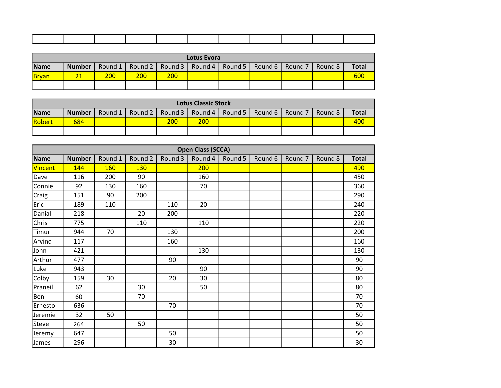| Lotus Evora |               |            |     |                   |         |         |  |                   |         |              |  |  |
|-------------|---------------|------------|-----|-------------------|---------|---------|--|-------------------|---------|--------------|--|--|
| Name        | <b>Number</b> | Round 1    |     | Round 2   Round 3 | Round 4 | Round 5 |  | Round 6   Round 7 | Round 8 | <b>Total</b> |  |  |
| Bryan       |               | <b>200</b> | 200 | 200               |         |         |  |                   |         | 600          |  |  |
|             |               |            |     |                   |         |         |  |                   |         |              |  |  |

|               | <b>Lotus Classic Stock</b> |  |                   |         |         |  |                             |  |         |              |  |  |
|---------------|----------------------------|--|-------------------|---------|---------|--|-----------------------------|--|---------|--------------|--|--|
| Name          | <b>Number</b>              |  | Round 1   Round 2 | Round 3 | Round 4 |  | Round 5   Round 6   Round 7 |  | Round 8 | <b>Total</b> |  |  |
| <b>Robert</b> | 684                        |  |                   | 200     | 200     |  |                             |  |         | 400          |  |  |
|               |                            |  |                   |         |         |  |                             |  |         |              |  |  |

|                |               |         |            |         | <b>Open Class (SCCA)</b> |         |         |                    |         |              |
|----------------|---------------|---------|------------|---------|--------------------------|---------|---------|--------------------|---------|--------------|
| Name           | <b>Number</b> | Round 1 | Round 2    | Round 3 | Round 4                  | Round 5 | Round 6 | Round <sub>7</sub> | Round 8 | <b>Total</b> |
| <b>Vincent</b> | 144           | 160     | <b>130</b> |         | 200                      |         |         |                    |         | 490          |
| Dave           | 116           | 200     | 90         |         | 160                      |         |         |                    |         | 450          |
| Connie         | 92            | 130     | 160        |         | 70                       |         |         |                    |         | 360          |
| Craig          | 151           | 90      | 200        |         |                          |         |         |                    |         | 290          |
| Eric           | 189           | 110     |            | 110     | 20                       |         |         |                    |         | 240          |
| Danial         | 218           |         | 20         | 200     |                          |         |         |                    |         | 220          |
| Chris          | 775           |         | 110        |         | 110                      |         |         |                    |         | 220          |
| Timur          | 944           | 70      |            | 130     |                          |         |         |                    |         | 200          |
| Arvind         | 117           |         |            | 160     |                          |         |         |                    |         | 160          |
| John           | 421           |         |            |         | 130                      |         |         |                    |         | 130          |
| Arthur         | 477           |         |            | 90      |                          |         |         |                    |         | 90           |
| Luke           | 943           |         |            |         | 90                       |         |         |                    |         | 90           |
| Colby          | 159           | 30      |            | 20      | 30                       |         |         |                    |         | 80           |
| Praneil        | 62            |         | 30         |         | 50                       |         |         |                    |         | 80           |
| Ben            | 60            |         | 70         |         |                          |         |         |                    |         | 70           |
| Ernesto        | 636           |         |            | 70      |                          |         |         |                    |         | 70           |
| Jeremie        | 32            | 50      |            |         |                          |         |         |                    |         | 50           |
| Steve          | 264           |         | 50         |         |                          |         |         |                    |         | 50           |
| Jeremy         | 647           |         |            | 50      |                          |         |         |                    |         | 50           |
| James          | 296           |         |            | 30      |                          |         |         |                    |         | 30           |